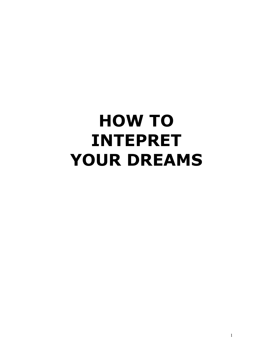# HOW TO INTEPRET YOUR DREAMS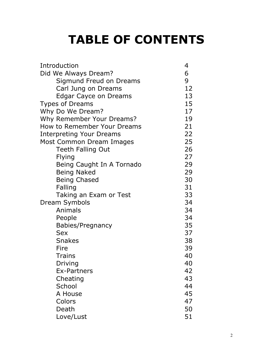# TABLE OF CONTENTS

| Introduction                    | 4  |
|---------------------------------|----|
| Did We Always Dream?            | 6  |
| Sigmund Freud on Dreams         | 9  |
| Carl Jung on Dreams             | 12 |
| Edgar Cayce on Dreams           | 13 |
| <b>Types of Dreams</b>          | 15 |
| Why Do We Dream?                | 17 |
| Why Remember Your Dreams?       | 19 |
| How to Remember Your Dreams     | 21 |
| <b>Interpreting Your Dreams</b> | 22 |
| Most Common Dream Images        | 25 |
| <b>Teeth Falling Out</b>        | 26 |
| <b>Flying</b>                   | 27 |
| Being Caught In A Tornado       | 29 |
| <b>Being Naked</b>              | 29 |
| <b>Being Chased</b>             | 30 |
| Falling                         | 31 |
| Taking an Exam or Test          | 33 |
| Dream Symbols                   | 34 |
| Animals                         | 34 |
| People                          | 34 |
| Babies/Pregnancy                | 35 |
| <b>Sex</b>                      | 37 |
| <b>Snakes</b>                   | 38 |
| Fire                            | 39 |
| <b>Trains</b>                   | 40 |
| Driving                         | 40 |
| <b>Ex-Partners</b>              | 42 |
| Cheating                        | 43 |
| School                          | 44 |
| A House                         | 45 |
| Colors                          | 47 |
| Death                           | 50 |
| Love/Lust                       | 51 |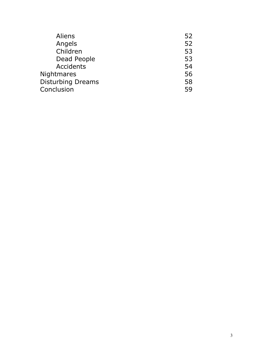| 52 |
|----|
| 52 |
| 53 |
| 53 |
| 54 |
| 56 |
| 58 |
| 59 |
|    |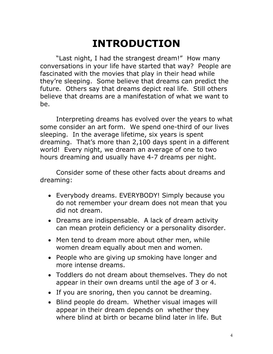# INTRODUCTION

"Last night, I had the strangest dream!" How many conversations in your life have started that way? People are fascinated with the movies that play in their head while they're sleeping. Some believe that dreams can predict the future. Others say that dreams depict real life. Still others believe that dreams are a manifestation of what we want to be.

 Interpreting dreams has evolved over the years to what some consider an art form. We spend one-third of our lives sleeping. In the average lifetime, six years is spent dreaming. That's more than 2,100 days spent in a different world! Every night, we dream an average of one to two hours dreaming and usually have 4-7 dreams per night.

 Consider some of these other facts about dreams and dreaming:

- Everybody dreams. EVERYBODY! Simply because you do not remember your dream does not mean that you did not dream.
- Dreams are indispensable. A lack of dream activity can mean protein deficiency or a personality disorder.
- Men tend to dream more about other men, while women dream equally about men and women.
- People who are giving up smoking have longer and more intense dreams.
- Toddlers do not dream about themselves. They do not appear in their own dreams until the age of 3 or 4.
- If you are snoring, then you cannot be dreaming.
- Blind people do dream. Whether visual images will appear in their dream depends on whether they where blind at birth or became blind later in life. But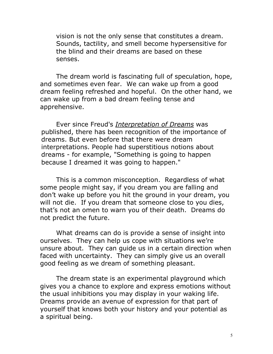vision is not the only sense that constitutes a dream. Sounds, tactility, and smell become hypersensitive for the blind and their dreams are based on these senses.

 The dream world is fascinating full of speculation, hope, and sometimes even fear. We can wake up from a good dream feeling refreshed and hopeful. On the other hand, we can wake up from a bad dream feeling tense and apprehensive.

Ever since Freud's [Interpretation of Dreams](http://www.psywww.com/books/interp/toc.htm) was published, there has been recognition of the importance of dreams. But even before that there were dream interpretations. People had superstitious notions about dreams - for example, "Something is going to happen because I dreamed it was going to happen."

 This is a common misconception. Regardless of what some people might say, if you dream you are falling and don't wake up before you hit the ground in your dream, you will not die. If you dream that someone close to you dies, that's not an omen to warn you of their death. Dreams do not predict the future.

What dreams can do is provide a sense of insight into ourselves. They can help us cope with situations we're unsure about. They can guide us in a certain direction when faced with uncertainty. They can simply give us an overall good feeling as we dream of something pleasant.

The dream state is an experimental playground which gives you a chance to explore and express emotions without the usual inhibitions you may display in your waking life. Dreams provide an avenue of expression for that part of yourself that knows both your history and your potential as a spiritual being.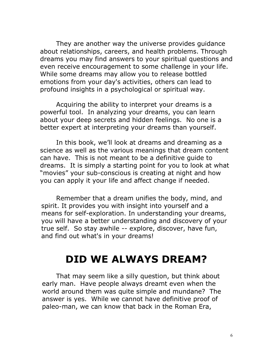They are another way the universe provides guidance about relationships, careers, and health problems. Through dreams you may find answers to your spiritual questions and even receive encouragement to some challenge in your life. While some dreams may allow you to release bottled emotions from your day's activities, others can lead to profound insights in a psychological or spiritual way.

Acquiring the ability to interpret your dreams is a powerful tool. In analyzing your dreams, you can learn about your deep secrets and hidden feelings. No one is a better expert at interpreting your dreams than yourself.

In this book, we'll look at dreams and dreaming as a science as well as the various meanings that dream content can have. This is not meant to be a definitive guide to dreams. It is simply a starting point for you to look at what "movies" your sub-conscious is creating at night and how you can apply it your life and affect change if needed.

Remember that a dream unifies the body, mind, and spirit. It provides you with insight into yourself and a means for self-exploration. In understanding your dreams, you will have a better understanding and discovery of your true self. So stay awhile -- explore, discover, have fun, and find out what's in your dreams!

### DID WE ALWAYS DREAM?

That may seem like a silly question, but think about early man. Have people always dreamt even when the world around them was quite simple and mundane? The answer is yes. While we cannot have definitive proof of paleo-man, we can know that back in the Roman Era,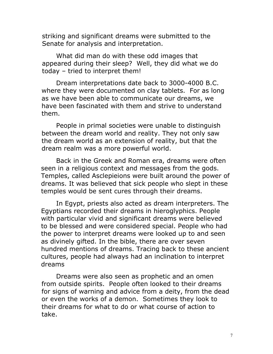striking and significant dreams were submitted to the Senate for analysis and interpretation.

 What did man do with these odd images that appeared during their sleep? Well, they did what we do today – tried to interpret them!

Dream interpretations date back to 3000-4000 B.C. where they were documented on clay tablets. For as long as we have been able to communicate our dreams, we have been fascinated with them and strive to understand them.

People in primal societies were unable to distinguish between the dream world and reality. They not only saw the dream world as an extension of reality, but that the dream realm was a more powerful world.

Back in the Greek and Roman era, dreams were often seen in a religious context and messages from the gods. Temples, called Asclepieions were built around the power of dreams. It was believed that sick people who slept in these temples would be sent cures through their dreams.

In Egypt, priests also acted as dream interpreters. The Egyptians recorded their dreams in hieroglyphics. People with particular vivid and significant dreams were believed to be blessed and were considered special. People who had the power to interpret dreams were looked up to and seen as divinely gifted. In the bible, there are over seven hundred mentions of dreams. Tracing back to these ancient cultures, people had always had an inclination to interpret dreams

Dreams were also seen as prophetic and an omen from outside spirits. People often looked to their dreams for signs of warning and advice from a deity, from the dead or even the works of a demon. Sometimes they look to their dreams for what to do or what course of action to take.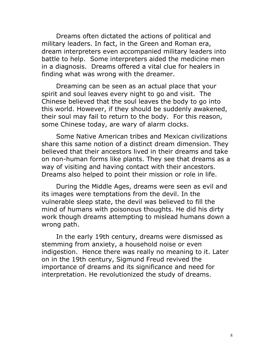Dreams often dictated the actions of political and military leaders. In fact, in the Green and Roman era, dream interpreters even accompanied military leaders into battle to help. Some interpreters aided the medicine men in a diagnosis. Dreams offered a vital clue for healers in finding what was wrong with the dreamer.

Dreaming can be seen as an actual place that your spirit and soul leaves every night to go and visit. The Chinese believed that the soul leaves the body to go into this world. However, if they should be suddenly awakened, their soul may fail to return to the body. For this reason, some Chinese today, are wary of alarm clocks.

Some Native American tribes and Mexican civilizations share this same notion of a distinct dream dimension. They believed that their ancestors lived in their dreams and take on non-human forms like plants. They see that dreams as a way of visiting and having contact with their ancestors. Dreams also helped to point their mission or role in life.

During the Middle Ages, dreams were seen as evil and its images were temptations from the devil. In the vulnerable sleep state, the devil was believed to fill the mind of humans with poisonous thoughts. He did his dirty work though dreams attempting to mislead humans down a wrong path.

In the early 19th century, dreams were dismissed as stemming from anxiety, a household noise or even indigestion. Hence there was really no meaning to it. Later on in the 19th century, Sigmund Freud revived the importance of dreams and its significance and need for interpretation. He revolutionized the study of dreams.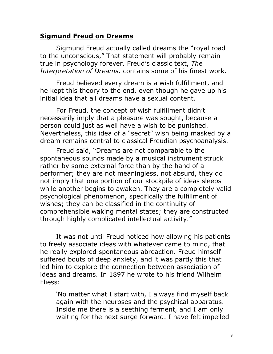#### Sigmund Freud on Dreams

Sigmund Freud actually called dreams the "royal road to the unconscious," That statement will probably remain true in psychology forever. Freud's classic text, The Interpretation of Dreams, contains some of his finest work.

Freud believed every dream is a wish fulfillment, and he kept this theory to the end, even though he gave up his initial idea that all dreams have a sexual content.

For Freud, the concept of wish fulfillment didn't necessarily imply that a pleasure was sought, because a person could just as well have a wish to be punished. Nevertheless, this idea of a "secret" wish being masked by a dream remains central to classical Freudian psychoanalysis.

 Freud said, "Dreams are not comparable to the spontaneous sounds made by a musical instrument struck rather by some external force than by the hand of a performer; they are not meaningless, not absurd, they do not imply that one portion of our stockpile of ideas sleeps while another begins to awaken. They are a completely valid psychological phenomenon, specifically the fulfillment of wishes; they can be classified in the continuity of comprehensible waking mental states; they are constructed through highly complicated intellectual activity."

It was not until Freud noticed how allowing his patients to freely associate ideas with whatever came to mind, that he really explored spontaneous abreaction. Freud himself suffered bouts of deep anxiety, and it was partly this that led him to explore the connection between association of ideas and dreams. In 1897 he wrote to his friend Wilhelm Fliess:

'No matter what I start with, I always find myself back again with the neuroses and the psychical apparatus. Inside me there is a seething ferment, and I am only waiting for the next surge forward. I have felt impelled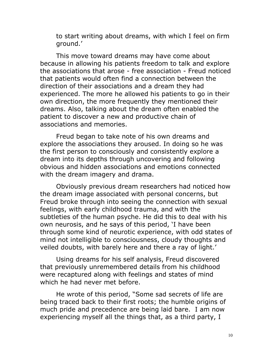to start writing about dreams, with which I feel on firm ground.'

This move toward dreams may have come about because in allowing his patients freedom to talk and explore the associations that arose - free association - Freud noticed that patients would often find a connection between the direction of their associations and a dream they had experienced. The more he allowed his patients to go in their own direction, the more frequently they mentioned their dreams. Also, talking about the dream often enabled the patient to discover a new and productive chain of associations and memories.

Freud began to take note of his own dreams and explore the associations they aroused. In doing so he was the first person to consciously and consistently explore a dream into its depths through uncovering and following obvious and hidden associations and emotions connected with the dream imagery and drama.

Obviously previous dream researchers had noticed how the dream image associated with personal concerns, but Freud broke through into seeing the connection with sexual feelings, with early childhood trauma, and with the subtleties of the human psyche. He did this to deal with his own neurosis, and he says of this period, 'I have been through some kind of neurotic experience, with odd states of mind not intelligible to consciousness, cloudy thoughts and veiled doubts, with barely here and there a ray of light.'

Using dreams for his self analysis, Freud discovered that previously unremembered details from his childhood were recaptured along with feelings and states of mind which he had never met before.

He wrote of this period, "Some sad secrets of life are being traced back to their first roots; the humble origins of much pride and precedence are being laid bare. I am now experiencing myself all the things that, as a third party, I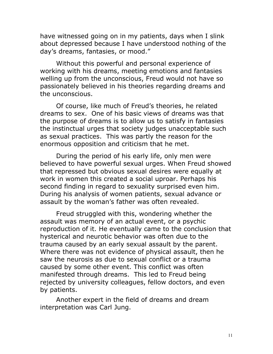have witnessed going on in my patients, days when I slink about depressed because I have understood nothing of the day's dreams, fantasies, or mood."

Without this powerful and personal experience of working with his dreams, meeting emotions and fantasies welling up from the unconscious, Freud would not have so passionately believed in his theories regarding dreams and the unconscious.

 Of course, like much of Freud's theories, he related dreams to sex. One of his basic views of dreams was that the purpose of dreams is to allow us to satisfy in fantasies the instinctual urges that society judges unacceptable such as sexual practices. This was partly the reason for the enormous opposition and criticism that he met.

During the period of his early life, only men were believed to have powerful sexual urges. When Freud showed that repressed but obvious sexual desires were equally at work in women this created a social uproar. Perhaps his second finding in regard to sexuality surprised even him. During his analysis of women patients, sexual advance or assault by the woman's father was often revealed.

Freud struggled with this, wondering whether the assault was memory of an actual event, or a psychic reproduction of it. He eventually came to the conclusion that hysterical and neurotic behavior was often due to the trauma caused by an early sexual assault by the parent. Where there was not evidence of physical assault, then he saw the neurosis as due to sexual conflict or a trauma caused by some other event. This conflict was often manifested through dreams. This led to Freud being rejected by university colleagues, fellow doctors, and even by patients.

 Another expert in the field of dreams and dream interpretation was Carl Jung.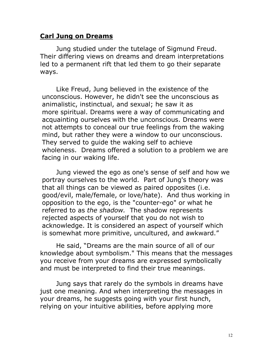#### Carl Jung on Dreams

Jung studied under the tutelage of Sigmund Freud. Their differing views on dreams and dream interpretations led to a permanent rift that led them to go their separate ways.

Like Freud, Jung believed in the existence of the unconscious. However, he didn't see the unconscious as animalistic, instinctual, and sexual; he saw it as more spiritual. Dreams were a way of communicating and acquainting ourselves with the unconscious. Dreams were not attempts to conceal our true feelings from the waking mind, but rather they were a window to our unconscious. They served to guide the waking self to achieve wholeness. Dreams offered a solution to a problem we are facing in our waking life.

Jung viewed the ego as one's sense of self and how we portray ourselves to the world. Part of Jung's theory was that all things can be viewed as paired opposites (i.e. good/evil, male/female, or love/hate). And thus working in opposition to the ego, is the "counter-ego" or what he referred to as the shadow. The shadow represents rejected aspects of yourself that you do not wish to acknowledge. It is considered an aspect of yourself which is somewhat more primitive, uncultured, and awkward."

He said, "Dreams are the main source of all of our knowledge about symbolism." This means that the messages you receive from your dreams are expressed symbolically and must be interpreted to find their true meanings.

Jung says that rarely do the symbols in dreams have just one meaning. And when interpreting the messages in your dreams, he suggests going with your first hunch, relying on your intuitive abilities, before applying more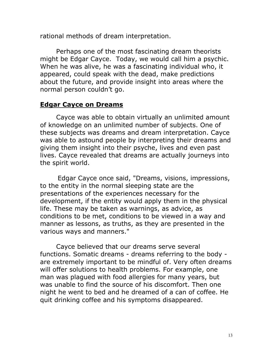rational methods of dream interpretation.

Perhaps one of the most fascinating dream theorists might be Edgar Cayce. Today, we would call him a psychic. When he was alive, he was a fascinating individual who, it appeared, could speak with the dead, make predictions about the future, and provide insight into areas where the normal person couldn't go.

### Edgar Cayce on Dreams

Cayce was able to obtain virtually an unlimited amount of knowledge on an unlimited number of subjects. One of these subjects was dreams and dream interpretation. Cayce was able to astound people by interpreting their dreams and giving them insight into their psyche, lives and even past lives. Cayce revealed that dreams are actually journeys into the spirit world.

 Edgar Cayce once said, "Dreams, visions, impressions, to the entity in the normal sleeping state are the presentations of the experiences necessary for the development, if the entity would apply them in the physical life. These may be taken as warnings, as advice, as conditions to be met, conditions to be viewed in a way and manner as lessons, as truths, as they are presented in the various ways and manners."

Cayce believed that our dreams serve several functions. Somatic dreams - dreams referring to the body are extremely important to be mindful of. Very often dreams will offer solutions to health problems. For example, one man was plagued with food allergies for many years, but was unable to find the source of his discomfort. Then one night he went to bed and he dreamed of a can of coffee. He quit drinking coffee and his symptoms disappeared.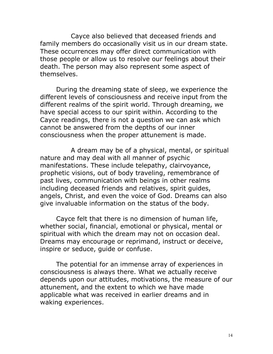Cayce also believed that deceased friends and family members do occasionally visit us in our dream state. These occurrences may offer direct communication with those people or allow us to resolve our feelings about their death. The person may also represent some aspect of themselves.

During the dreaming state of sleep, we experience the different levels of consciousness and receive input from the different realms of the spirit world. Through dreaming, we have special access to our spirit within. According to the Cayce readings, there is not a question we can ask which cannot be answered from the depths of our inner consciousness when the proper attunement is made.

 A dream may be of a physical, mental, or spiritual nature and may deal with all manner of psychic manifestations. These include telepathy, clairvoyance, prophetic visions, out of body traveling, remembrance of past lives, communication with beings in other realms including deceased friends and relatives, spirit guides, angels, Christ, and even the voice of God. Dreams can also give invaluable information on the status of the body.

Cayce felt that there is no dimension of human life, whether social, financial, emotional or physical, mental or spiritual with which the dream may not on occasion deal. Dreams may encourage or reprimand, instruct or deceive, inspire or seduce, guide or confuse.

The potential for an immense array of experiences in consciousness is always there. What we actually receive depends upon our attitudes, motivations, the measure of our attunement, and the extent to which we have made applicable what was received in earlier dreams and in waking experiences.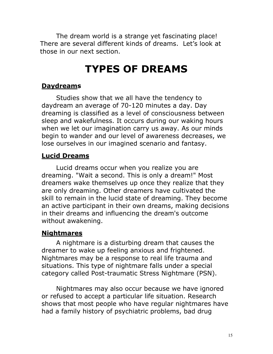The dream world is a strange yet fascinating place! There are several different kinds of dreams. Let's look at those in our next section.

# TYPES OF DREAMS

#### **[Daydreams](http://www.dreammoods.com/dreaminformation/dreamtypes/daydreams.htm)**

Studies show that we all have the tendency to daydream an average of 70-120 minutes a day. Day dreaming is classified as a level of consciousness between sleep and wakefulness. It occurs during our waking hours when we let our imagination carry us away. As our minds begin to wander and our level of awareness decreases, we lose ourselves in our imagined scenario and fantasy.

#### [Lucid Dreams](http://www.dreammoods.com/dreaminformation/dreamtypes/luciddreams.htm)

Lucid dreams occur when you realize you are dreaming. "Wait a second. This is only a dream!" Most dreamers wake themselves up once they realize that they are only dreaming. Other dreamers have cultivated the skill to remain in the lucid state of dreaming. They become an active participant in their own dreams, making decisions in their dreams and influencing the dream's outcome without awakening.

### **[Nightmares](http://www.dreammoods.com/dreaminformation/dreamtypes/nightmares.htm)**

A nightmare is a disturbing dream that causes the dreamer to wake up feeling anxious and frightened. Nightmares may be a response to real life trauma and situations. This type of nightmare falls under a special category called Post-traumatic Stress Nightmare (PSN).

Nightmares may also occur because we have ignored or refused to accept a particular life situation. Research shows that most people who have regular nightmares have had a family history of psychiatric problems, bad drug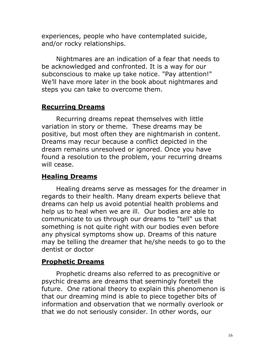experiences, people who have contemplated suicide, and/or rocky relationships.

Nightmares are an indication of a fear that needs to be acknowledged and confronted. It is a way for our subconscious to make up take notice. "Pay attention!" We'll have more later in the book about nightmares and steps you can take to overcome them.

#### [Recurring Dreams](http://www.dreammoods.com/dreaminformation/dreamtypes/recurringdreams.htm)

Recurring dreams repeat themselves with little variation in story or theme. These dreams may be positive, but most often they are nightmarish in content. Dreams may recur because a conflict depicted in the dream remains unresolved or ignored. Once you have found a resolution to the problem, your recurring dreams will cease.

#### Healing Dreams

Healing dreams serve as messages for the dreamer in regards to their health. Many dream experts believe that dreams can help us avoid potential health problems and help us to heal when we are ill. Our bodies are able to communicate to us through our dreams to "tell" us that something is not quite right with our bodies even before any physical symptoms show up. Dreams of this nature may be telling the dreamer that he/she needs to go to the dentist or doctor

#### Prophetic Dreams

Prophetic dreams also referred to as precognitive or psychic dreams are dreams that seemingly foretell the future. One rational theory to explain this phenomenon is that our dreaming mind is able to piece together bits of information and observation that we normally overlook or that we do not seriously consider. In other words, our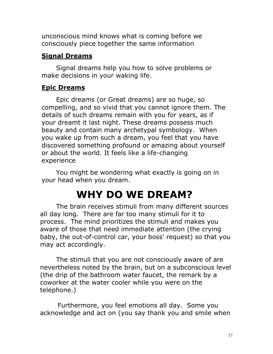unconscious mind knows what is coming before we consciously piece together the same information

### Signal Dreams

Signal dreams help you how to solve problems or make decisions in your waking life.

### Epic Dreams

Epic dreams (or Great dreams) are so huge, so compelling, and so vivid that you cannot ignore them. The details of such dreams remain with you for years, as if your dreamt it last night. These dreams possess much beauty and contain many archetypal symbology. When you wake up from such a dream, you feel that you have discovered something profound or amazing about yourself or about the world. It feels like a life-changing experience

You might be wondering what exactly is going on in your head when you dream.

# WHY DO WE DREAM?

The brain receives stimuli from many different sources all day long. There are far too many stimuli for it to process. The mind prioritizes the stimuli and makes you aware of those that need immediate attention (the crying baby, the out-of-control car, your boss' request) so that you may act accordingly.

The stimuli that you are not consciously aware of are nevertheless noted by the brain, but on a subconscious level (the drip of the bathroom water faucet, the remark by a coworker at the water cooler while you were on the telephone.)

 Furthermore, you feel emotions all day. Some you acknowledge and act on (you say thank you and smile when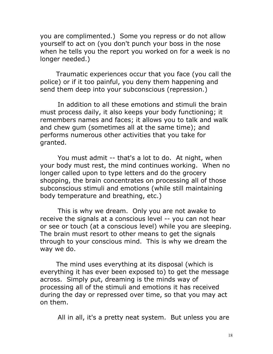you are complimented.) Some you repress or do not allow yourself to act on (you don't punch your boss in the nose when he tells you the report you worked on for a week is no longer needed.)

Traumatic experiences occur that you face (you call the police) or if it too painful, you deny them happening and send them deep into your subconscious (repression.)

 In addition to all these emotions and stimuli the brain must process daily, it also keeps your body functioning; it remembers names and faces; it allows you to talk and walk and chew gum (sometimes all at the same time); and performs numerous other activities that you take for granted.

 You must admit -- that's a lot to do. At night, when your body must rest, the mind continues working. When no longer called upon to type letters and do the grocery shopping, the brain concentrates on processing all of those subconscious stimuli and emotions (while still maintaining body temperature and breathing, etc.)

 This is why we dream. Only you are not awake to receive the signals at a conscious level -- you can not hear or see or touch (at a conscious level) while you are sleeping. The brain must resort to other means to get the signals through to your conscious mind. This is why we dream the way we do.

The mind uses everything at its disposal (which is everything it has ever been exposed to) to get the message across. Simply put, dreaming is the minds way of processing all of the stimuli and emotions it has received during the day or repressed over time, so that you may act on them.

All in all, it's a pretty neat system. But unless you are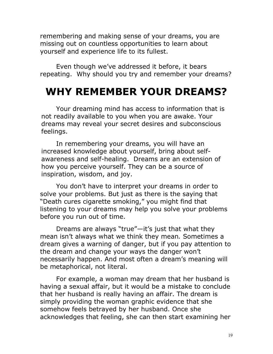remembering and making sense of your dreams, you are missing out on countless opportunities to learn about yourself and experience life to its fullest.

 Even though we've addressed it before, it bears repeating. Why should you try and remember your dreams?

### WHY REMEMBER YOUR DREAMS?

Your dreaming mind has access to information that is not readily available to you when you are awake. Your dreams may reveal your secret desires and subconscious feelings.

In remembering your dreams, you will have an increased knowledge about yourself, bring about selfawareness and self-healing. Dreams are an extension of how you perceive yourself. They can be a source of inspiration, wisdom, and joy.

You don't have to interpret your dreams in order to solve your problems. But just as there is the saying that "Death cures cigarette smoking," you might find that listening to your dreams may help you solve your problems before you run out of time.

Dreams are always "true"—it's just that what they mean isn't always what we think they mean. Sometimes a dream gives a warning of danger, but if you pay attention to the dream and change your ways the danger won't necessarily happen. And most often a dream's meaning will be metaphorical, not literal.

For example, a woman may dream that her husband is having a sexual affair, but it would be a mistake to conclude that her husband is really having an affair. The dream is simply providing the woman graphic evidence that she somehow feels betrayed by her husband. Once she acknowledges that feeling, she can then start examining her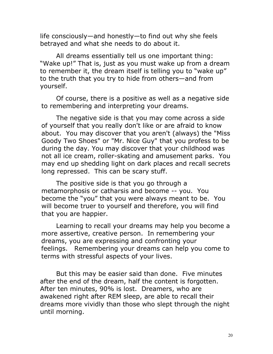life consciously—and honestly—to find out why she feels betrayed and what she needs to do about it.

All dreams essentially tell us one important thing: "Wake up!" That is, just as you must wake up from a dream to remember it, the dream itself is telling you to "wake up" to the [truth](http://www.guidetopsychology.com/honesty.htm) that you try to hide from others—and from yourself.

Of course, there is a positive as well as a negative side to remembering and interpreting your dreams.

The negative side is that you may come across a side of yourself that you really don't like or are afraid to know about. You may discover that you aren't (always) the "Miss Goody Two Shoes" or "Mr. Nice Guy" that you profess to be during the day. You may discover that your childhood was not all ice cream, roller-skating and amusement parks. You may end up shedding light on dark places and recall secrets long repressed. This can be scary stuff.

The positive side is that you go through a metamorphosis or catharsis and become -- you. You become the "you" that you were always meant to be. You will become truer to yourself and therefore, you will find that you are happier.

Learning to recall your dreams may help you become a more assertive, creative person. In remembering your dreams, you are expressing and confronting your feelings. Remembering your dreams can help you come to terms with stressful aspects of your lives.

But this may be easier said than done. Five minutes after the end of the dream, half the content is forgotten. After ten minutes, 90% is lost. Dreamers, who are awakened right after REM sleep, are able to recall their dreams more vividly than those who slept through the night until morning.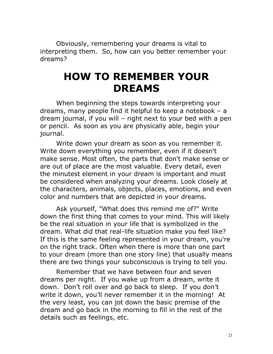Obviously, remembering your dreams is vital to interpreting them. So, how can you better remember your dreams?

# HOW TO REMEMBER YOUR DREAMS

When beginning the steps towards interpreting your dreams, many people find it helpful to keep a notebook – a dream journal, if you will – right next to your bed with a pen or pencil. As soon as you are physically able, begin your journal.

Write down your dream as soon as you remember it. Write down everything you remember, even if it doesn't make sense. Most often, the parts that don't make sense or are out of place are the most valuable. Every detail, even the minutest element in your dream is important and must be considered when analyzing your dreams. Look closely at the characters, animals, objects, places, emotions, and even color and numbers that are depicted in your dreams.

Ask yourself, "What does this remind me of?" Write down the first thing that comes to your mind. This will likely be the real situation in your life that is symbolized in the dream. What did that real-life situation make you feel like? If this is the same feeling represented in your dream, you're on the right track. Often when there is more than one part to your dream (more than one story line) that usually means there are two things your subconscious is trying to tell you.

 Remember that we have between four and seven dreams per night. If you wake up from a dream, write it down. Don't roll over and go back to sleep. If you don't write it down, you'll never remember it in the morning! At the very least, you can jot down the basic premise of the dream and go back in the morning to fill in the rest of the details such as feelings, etc.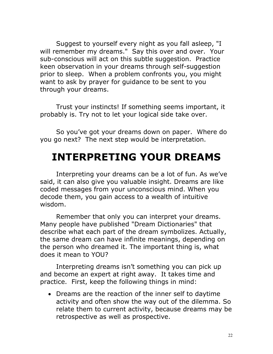Suggest to yourself every night as you fall asleep, "I will remember my dreams." Say this over and over. Your sub-conscious will act on this subtle suggestion. Practice keen observation in your dreams through self-suggestion prior to sleep. When a problem confronts you, you might want to ask by prayer for guidance to be sent to you through your dreams.

Trust your instincts! If something seems important, it probably is. Try not to let your logical side take over.

So you've got your dreams down on paper. Where do you go next? The next step would be interpretation.

# INTERPRETING YOUR DREAMS

Interpreting your dreams can be a lot of fun. As we've said, it can also give you valuable insight. Dreams are like coded messages from your unconscious mind. When you decode them, you gain access to a wealth of intuitive wisdom.

Remember that only you can interpret your dreams. Many people have published "Dream Dictionaries" that describe what each part of the dream symbolizes. Actually, the same dream can have infinite meanings, depending on the person who dreamed it. The important thing is, what does it mean to YOU?

Interpreting dreams isn't something you can pick up and become an expert at right away. It takes time and practice. First, keep the following things in mind:

• Dreams are the reaction of the inner self to daytime activity and often show the way out of the dilemma. So relate them to current activity, because dreams may be retrospective as well as prospective.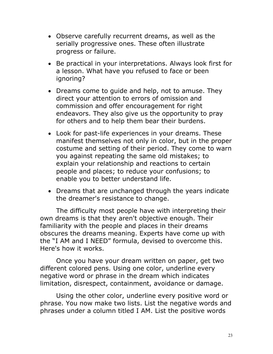- Observe carefully recurrent dreams, as well as the serially progressive ones. These often illustrate progress or failure.
- Be practical in your interpretations. Always look first for a lesson. What have you refused to face or been ignoring?
- Dreams come to guide and help, not to amuse. They direct your attention to errors of omission and commission and offer encouragement for right endeavors. They also give us the opportunity to pray for others and to help them bear their burdens.
- Look for past-life experiences in your dreams. These manifest themselves not only in color, but in the proper costume and setting of their period. They come to warn you against repeating the same old mistakes; to explain your relationship and reactions to certain people and places; to reduce your confusions; to enable you to better understand life.
- Dreams that are unchanged through the years indicate the dreamer's resistance to change.

The difficulty most people have with interpreting their own dreams is that they aren't objective enough. Their familiarity with the people and places in their dreams obscures the dreams meaning. Experts have come up with the "I AM and I NEED" formula, devised to overcome this. Here's how it works.

Once you have your dream written on paper, get two different colored pens. Using one color, underline every negative word or phrase in the dream which indicates limitation, disrespect, containment, avoidance or damage.

Using the other color, underline every positive word or phrase. You now make two lists. List the negative words and phrases under a column titled I AM. List the positive words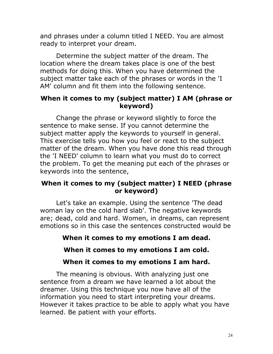and phrases under a column titled I NEED. You are almost ready to interpret your dream.

Determine the subject matter of the dream. The location where the dream takes place is one of the best methods for doing this. When you have determined the subject matter take each of the phrases or words in the 'I AM' column and fit them into the following sentence.

#### When it comes to my (subject matter) I AM (phrase or keyword)

Change the phrase or keyword slightly to force the sentence to make sense. If you cannot determine the subject matter apply the keywords to yourself in general. This exercise tells you how you feel or react to the subject matter of the dream. When you have done this read through the 'I NEED' column to learn what you must do to correct the problem. To get the meaning put each of the phrases or keywords into the sentence,

#### When it comes to my (subject matter) I NEED (phrase or keyword)

Let's take an example. Using the sentence 'The dead woman lay on the cold hard slab'. The negative keywords are; dead, cold and hard. Women, in dreams, can represent emotions so in this case the sentences constructed would be

### When it comes to my emotions I am dead.

#### When it comes to my emotions I am cold.

#### When it comes to my emotions I am hard.

The meaning is obvious. With analyzing just one sentence from a dream we have learned a lot about the dreamer. Using this technique you now have all of the information you need to start interpreting your dreams. However it takes practice to be able to apply what you have learned. Be patient with your efforts.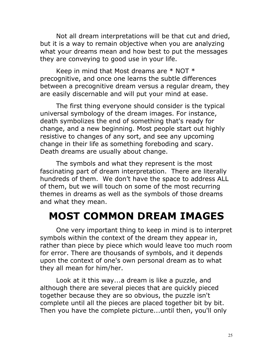Not all dream interpretations will be that cut and dried, but it is a way to remain objective when you are analyzing what your dreams mean and how best to put the messages they are conveying to good use in your life.

Keep in mind that Most dreams are  $*$  NOT  $*$ precognitive, and once one learns the subtle differences between a precognitive dream versus a regular dream, they are easily discernable and will put your mind at ease.

The first thing everyone should consider is the typical universal symbology of the dream images. For instance, death symbolizes the end of something that's ready for change, and a new beginning. Most people start out highly resistive to changes of any sort, and see any upcoming change in their life as something foreboding and scary. Death dreams are usually about change.

 The symbols and what they represent is the most fascinating part of dream interpretation. There are literally hundreds of them. We don't have the space to address ALL of them, but we will touch on some of the most recurring themes in dreams as well as the symbols of those dreams and what they mean.

# MOST COMMON DREAM IMAGES

One very important thing to keep in mind is to interpret symbols within the context of the dream they appear in, rather than piece by piece which would leave too much room for error. There are thousands of symbols, and it depends upon the context of one's own personal dream as to what they all mean for him/her.

Look at it this way...a dream is like a puzzle, and although there are several pieces that are quickly pieced together because they are so obvious, the puzzle isn't complete until all the pieces are placed together bit by bit. Then you have the complete picture...until then, you'll only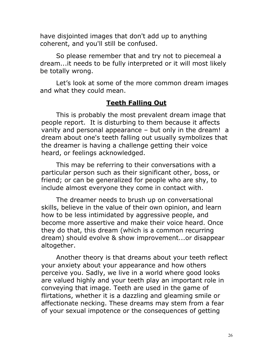have disjointed images that don't add up to anything coherent, and you'll still be confused.

So please remember that and try not to piecemeal a dream...it needs to be fully interpreted or it will most likely be totally wrong.

 Let's look at some of the more common dream images and what they could mean.

#### Teeth Falling Out

 This is probably the most prevalent dream image that people report. It is disturbing to them because it affects vanity and personal appearance – but only in the dream! a dream about one's teeth falling out usually symbolizes that the dreamer is having a challenge getting their voice heard, or feelings acknowledged.

This may be referring to their conversations with a particular person such as their significant other, boss, or friend; or can be generalized for people who are shy, to include almost everyone they come in contact with.

The dreamer needs to brush up on conversational skills, believe in the value of their own opinion, and learn how to be less intimidated by aggressive people, and become more assertive and make their voice heard. Once they do that, this dream (which is a common recurring dream) should evolve & show improvement...or disappear altogether.

Another theory is that dreams about your teeth reflect your anxiety about your appearance and how others perceive you. Sadly, we live in a world where good looks are valued highly and your teeth play an important role in conveying that image. Teeth are used in the game of flirtations, whether it is a dazzling and gleaming smile or affectionate necking. These dreams may stem from a fear of your sexual impotence or the consequences of getting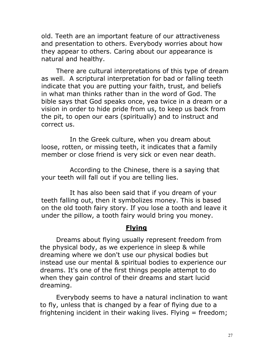old. Teeth are an important feature of our attractiveness and presentation to others. Everybody worries about how they appear to others. Caring about our appearance is natural and healthy.

There are cultural interpretations of this type of dream as well. A scriptural interpretation for bad or falling teeth indicate that you are putting your faith, trust, and beliefs in what man thinks rather than in the word of God. The bible says that God speaks once, yea twice in a dream or a vision in order to hide pride from us, to keep us back from the pit, to open our ears (spiritually) and to instruct and correct us.

 In the Greek culture, when you dream about loose, rotten, or missing teeth, it indicates that a family member or close friend is very sick or even near death.

 According to the Chinese, there is a saying that your teeth will fall out if you are telling lies.

 It has also been said that if you dream of your teeth falling out, then it symbolizes money. This is based on the old tooth fairy story. If you lose a tooth and leave it under the pillow, a tooth fairy would bring you money.

#### **Flying**

Dreams about flying usually represent freedom from the physical body, as we experience in sleep & while dreaming where we don't use our physical bodies but instead use our mental & spiritual bodies to experience our dreams. It's one of the first things people attempt to do when they gain control of their dreams and start lucid dreaming.

Everybody seems to have a natural inclination to want to fly, unless that is changed by a fear of flying due to a frightening incident in their waking lives. Flying  $=$  freedom;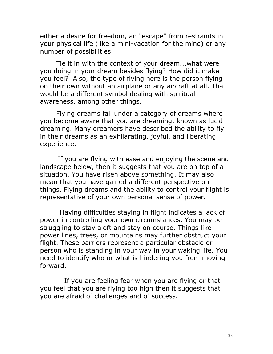either a desire for freedom, an "escape" from restraints in your physical life (like a mini-vacation for the mind) or any number of possibilities.

Tie it in with the context of your dream...what were you doing in your dream besides flying? How did it make you feel? Also, the type of flying here is the person flying on their own without an airplane or any aircraft at all. That would be a different symbol dealing with spiritual awareness, among other things.

Flying dreams fall under a category of dreams where you become aware that you are dreaming, known as lucid dreaming. Many dreamers have described the ability to fly in their dreams as an exhilarating, joyful, and liberating experience.

 If you are flying with ease and enjoying the scene and landscape below, then it suggests that you are on top of a situation. You have risen above something. It may also mean that you have gained a different perspective on things. Flying dreams and the ability to control your flight is representative of your own personal sense of power.

 Having difficulties staying in flight indicates a lack of power in controlling your own circumstances. You may be struggling to stay aloft and stay on course. Things like power lines, trees, or mountains may further obstruct your flight. These barriers represent a particular obstacle or person who is standing in your way in your waking life. You need to identify who or what is hindering you from moving forward.

 If you are feeling fear when you are flying or that you feel that you are flying too high then it suggests that you are afraid of challenges and of success.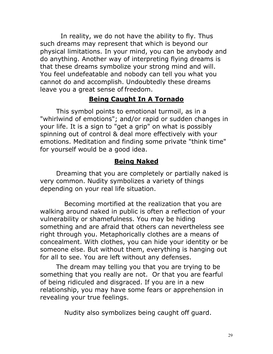In reality, we do not have the ability to fly. Thus such dreams may represent that which is beyond our physical limitations. In your mind, you can be anybody and do anything. Another way of interpreting flying dreams is that these dreams symbolize your strong mind and will. You feel undefeatable and nobody can tell you what you cannot do and accomplish. Undoubtedly these dreams leave you a great sense of freedom.

### Being Caught In A Tornado

This symbol points to emotional turmoil, as in a "whirlwind of emotions"; and/or rapid or sudden changes in your life. It is a sign to "get a grip" on what is possibly spinning out of control & deal more effectively with your emotions. Meditation and finding some private "think time" for yourself would be a good idea.

### Being Naked

Dreaming that you are completely or partially naked is very common. Nudity symbolizes a variety of things depending on your real life situation.

 Becoming mortified at the realization that you are walking around naked in public is often a reflection of your vulnerability or shamefulness. You may be hiding something and are afraid that others can nevertheless see right through you. Metaphorically clothes are a means of concealment. With clothes, you can hide your identity or be someone else. But without them, everything is hanging out for all to see. You are left without any defenses.

The dream may telling you that you are trying to be something that you really are not. Or that you are fearful of being ridiculed and disgraced. If you are in a new relationship, you may have some fears or apprehension in revealing your true feelings.

Nudity also symbolizes being caught off guard.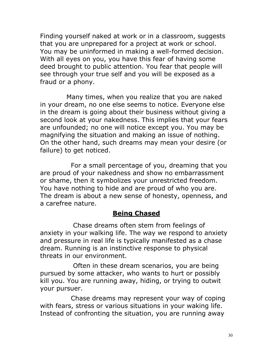Finding yourself naked at work or in a classroom, suggests that you are unprepared for a project at work or school. You may be uninformed in making a well-formed decision. With all eyes on you, you have this fear of having some deed brought to public attention. You fear that people will see through your true self and you will be exposed as a fraud or a phony.

 Many times, when you realize that you are naked in your dream, no one else seems to notice. Everyone else in the dream is going about their business without giving a second look at your nakedness. This implies that your fears are unfounded; no one will notice except you. You may be magnifying the situation and making an issue of nothing. On the other hand, such dreams may mean your desire (or failure) to get noticed.

 For a small percentage of you, dreaming that you are proud of your nakedness and show no embarrassment or shame, then it symbolizes your unrestricted freedom. You have nothing to hide and are proud of who you are. The dream is about a new sense of honesty, openness, and a carefree nature.

### Being Chased

 Chase dreams often stem from feelings of anxiety in your walking life. The way we respond to anxiety and pressure in real life is typically manifested as a chase dream. Running is an instinctive response to physical threats in our environment.

 Often in these dream scenarios, you are being pursued by some attacker, who wants to hurt or possibly kill you. You are running away, hiding, or trying to outwit your pursuer.

 Chase dreams may represent your way of coping with fears, stress or various situations in your waking life. Instead of confronting the situation, you are running away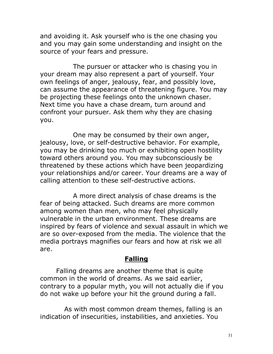and avoiding it. Ask yourself who is the one chasing you and you may gain some understanding and insight on the source of your fears and pressure.

 The pursuer or attacker who is chasing you in your dream may also represent a part of yourself. Your own feelings of anger, jealousy, fear, and possibly love, can assume the appearance of threatening figure. You may be projecting these feelings onto the unknown chaser. Next time you have a chase dream, turn around and confront your pursuer. Ask them why they are chasing you.

 One may be consumed by their own anger, jealousy, love, or self-destructive behavior. For example, you may be drinking too much or exhibiting open hostility toward others around you. You may subconsciously be threatened by these actions which have been jeopardizing your relationships and/or career. Your dreams are a way of calling attention to these self-destructive actions.

 A more direct analysis of chase dreams is the fear of being attacked. Such dreams are more common among women than men, who may feel physically vulnerable in the urban environment. These dreams are inspired by fears of violence and sexual assault in which we are so over-exposed from the media. The violence that the media portrays magnifies our fears and how at risk we all are.

### Falling

Falling dreams are another theme that is quite common in the world of dreams. As we said earlier, contrary to a popular myth, you will not actually die if you do not wake up before your hit the ground during a fall.

 As with most common dream themes, falling is an indication of insecurities, instabilities, and anxieties. You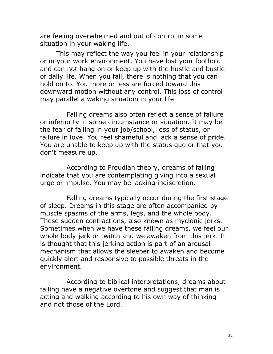are feeling overwhelmed and out of control in some situation in your waking life.

This may reflect the way you feel in your relationship or in your work environment. You have lost your foothold and can not hang on or keep up with the hustle and bustle of daily life. When you fall, there is nothing that you can hold on to. You more or less are forced toward this downward motion without any control. This loss of control may parallel a waking situation in your life.

 Falling dreams also often reflect a sense of failure or inferiority in some circumstance or situation. It may be the fear of failing in your job/school, loss of status, or failure in love. You feel shameful and lack a sense of pride. You are unable to keep up with the status quo or that you don't measure up.

 According to Freudian theory, dreams of falling indicate that you are contemplating giving into a sexual urge or impulse. You may be lacking indiscretion.

 Falling dreams typically occur during the first stage of sleep. Dreams in this stage are often accompanied by muscle spasms of the arms, legs, and the whole body. These sudden contractions, also known as myclonic jerks. Sometimes when we have these falling dreams, we feel our whole body jerk or twitch and we awaken from this jerk. It is thought that this jerking action is part of an arousal mechanism that allows the sleeper to awaken and become quickly alert and responsive to possible threats in the environment.

 According to biblical interpretations, dreams about falling have a negative overtone and suggest that man is acting and walking according to his own way of thinking and not those of the Lord.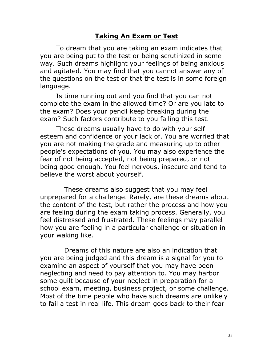#### Taking An Exam or Test

To dream that you are taking an exam indicates that you are being put to the test or being scrutinized in some way. Such dreams highlight your feelings of being anxious and agitated. You may find that you cannot answer any of the questions on the test or that the test is in some foreign language.

Is time running out and you find that you can not complete the exam in the allowed time? Or are you late to the exam? Does your pencil keep breaking during the exam? Such factors contribute to you failing this test.

These dreams usually have to do with your selfesteem and confidence or your lack of. You are worried that you are not making the grade and measuring up to other people's expectations of you. You may also experience the fear of not being accepted, not being prepared, or not being good enough. You feel nervous, insecure and tend to believe the worst about yourself.

 These dreams also suggest that you may feel unprepared for a challenge. Rarely, are these dreams about the content of the test, but rather the process and how you are feeling during the exam taking process. Generally, you feel distressed and frustrated. These feelings may parallel how you are feeling in a particular challenge or situation in your waking like.

 Dreams of this nature are also an indication that you are being judged and this dream is a signal for you to examine an aspect of yourself that you may have been neglecting and need to pay attention to. You may harbor some guilt because of your neglect in preparation for a school exam, meeting, business project, or some challenge. Most of the time people who have such dreams are unlikely to fail a test in real life. This dream goes back to their fear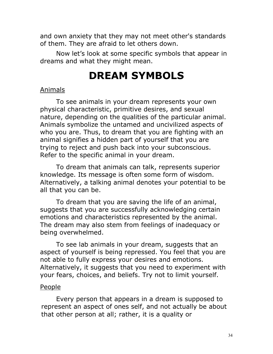and own anxiety that they may not meet other's standards of them. They are afraid to let others down.

 Now let's look at some specific symbols that appear in dreams and what they might mean.

## DREAM SYMBOLS

#### Animals

To see animals in your dream represents your own physical characteristic, primitive desires, and sexual nature, depending on the qualities of the particular animal. Animals symbolize the untamed and uncivilized aspects of who you are. Thus, to dream that you are fighting with an animal signifies a hidden part of yourself that you are trying to reject and push back into your subconscious. Refer to the specific animal in your dream.

To dream that animals can talk, represents superior knowledge. Its message is often some form of wisdom. Alternatively, a talking animal denotes your potential to be all that you can be.

To dream that you are saving the life of an animal, suggests that you are successfully acknowledging certain emotions and characteristics represented by the animal. The dream may also stem from feelings of inadequacy or being overwhelmed.

To see lab animals in your dream, suggests that an aspect of yourself is being repressed. You feel that you are not able to fully express your desires and emotions. Alternatively, it suggests that you need to experiment with your fears, choices, and beliefs. Try not to limit yourself.

#### People

Every person that appears in a dream is supposed to represent an aspect of ones self, and not actually be about that other person at all; rather, it is a quality or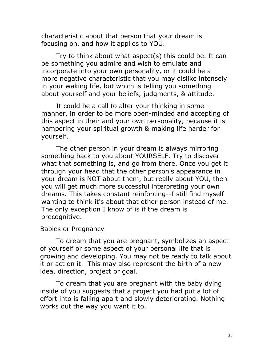characteristic about that person that your dream is focusing on, and how it applies to YOU.

Try to think about what aspect(s) this could be. It can be something you admire and wish to emulate and incorporate into your own personality, or it could be a more negative characteristic that you may dislike intensely in your waking life, but which is telling you something about yourself and your beliefs, judgments, & attitude.

It could be a call to alter your thinking in some manner, in order to be more open-minded and accepting of this aspect in their and your own personality, because it is hampering your spiritual growth & making life harder for yourself.

The other person in your dream is always mirroring something back to you about YOURSELF. Try to discover what that something is, and go from there. Once you get it through your head that the other person's appearance in your dream is NOT about them, but really about YOU, then you will get much more successful interpreting your own dreams. This takes constant reinforcing--I still find myself wanting to think it's about that other person instead of me. The only exception I know of is if the dream is precognitive.

#### Babies or Pregnancy

To dream that you are pregnant, symbolizes an aspect of yourself or some aspect of your personal life that is growing and developing. You may not be ready to talk about it or act on it. This may also represent the birth of a new idea, direction, project or goal.

To dream that you are pregnant with the baby dying inside of you suggests that a project you had put a lot of effort into is falling apart and slowly deteriorating. Nothing works out the way you want it to.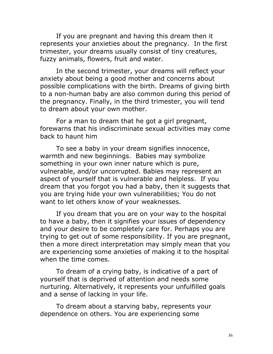If you are pregnant and having this dream then it represents your anxieties about the pregnancy. In the first trimester, your dreams usually consist of tiny creatures, fuzzy animals, flowers, fruit and water.

In the second trimester, your dreams will reflect your anxiety about being a good mother and concerns about possible complications with the birth. Dreams of giving birth to a non-human baby are also common during this period of the pregnancy. Finally, in the third trimester, you will tend to dream about your own mother.

For a man to dream that he got a girl pregnant, forewarns that his indiscriminate sexual activities may come back to haunt him

To see a baby in your dream signifies innocence, warmth and new beginnings. Babies may symbolize something in your own inner nature which is pure, vulnerable, and/or uncorrupted. Babies may represent an aspect of yourself that is vulnerable and helpless. If you dream that you forgot you had a baby, then it suggests that you are trying hide your own vulnerabilities; You do not want to let others know of your weaknesses.

If you dream that you are on your way to the hospital to have a baby, then it signifies your issues of dependency and your desire to be completely care for. Perhaps you are trying to get out of some responsibility. If you are pregnant, then a more direct interpretation may simply mean that you are experiencing some anxieties of making it to the hospital when the time comes.

To dream of a crying baby, is indicative of a part of yourself that is deprived of attention and needs some nurturing. Alternatively, it represents your unfulfilled goals and a sense of lacking in your life.

To dream about a starving baby, represents your dependence on others. You are experiencing some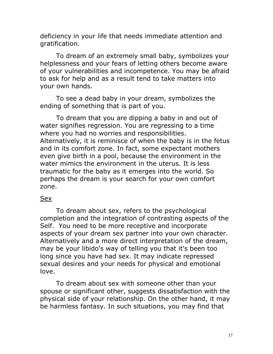deficiency in your life that needs immediate attention and gratification.

To dream of an extremely small baby, symbolizes your helplessness and your fears of letting others become aware of your vulnerabilities and incompetence. You may be afraid to ask for help and as a result tend to take matters into your own hands.

To see a dead baby in your dream, symbolizes the ending of something that is part of you.

To dream that you are dipping a baby in and out of water signifies regression. You are regressing to a time where you had no worries and responsibilities. Alternatively, it is reminisce of when the baby is in the fetus and in its comfort zone. In fact, some expectant mothers even give birth in a pool, because the environment in the water mimics the environment in the uterus. It is less traumatic for the baby as it emerges into the world. So perhaps the dream is your search for your own comfort zone.

#### Sex

To dream about sex, refers to the psychological completion and the integration of contrasting aspects of the Self. You need to be more receptive and incorporate aspects of your dream sex partner into your own character. Alternatively and a more direct interpretation of the dream, may be your libido's way of telling you that it's been too long since you have had sex. It may indicate repressed sexual desires and your needs for physical and emotional love.

To dream about sex with someone other than your spouse or significant other, suggests dissatisfaction with the physical side of your relationship. On the other hand, it may be harmless fantasy. In such situations, you may find that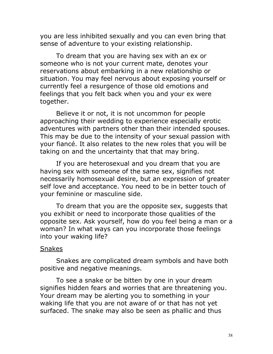you are less inhibited sexually and you can even bring that sense of adventure to your existing relationship.

To dream that you are having sex with an ex or someone who is not your current mate, denotes your reservations about embarking in a new relationship or situation. You may feel nervous about exposing yourself or currently feel a resurgence of those old emotions and feelings that you felt back when you and your ex were together.

Believe it or not, it is not uncommon for people approaching their wedding to experience especially erotic adventures with partners other than their intended spouses. This may be due to the intensity of your sexual passion with your fiancé. It also relates to the new roles that you will be taking on and the uncertainty that that may bring.

If you are heterosexual and you dream that you are having sex with someone of the same sex, signifies not necessarily homosexual desire, but an expression of greater self love and acceptance. You need to be in better touch of your feminine or masculine side.

To dream that you are the opposite sex, suggests that you exhibit or need to incorporate those qualities of the opposite sex. Ask yourself, how do you feel being a man or a woman? In what ways can you incorporate those feelings into your waking life?

#### **Snakes**

Snakes are complicated dream symbols and have both positive and negative meanings.

To see a snake or be bitten by one in your dream signifies hidden fears and worries that are threatening you. Your dream may be alerting you to something in your waking life that you are not aware of or that has not yet surfaced. The snake may also be seen as phallic and thus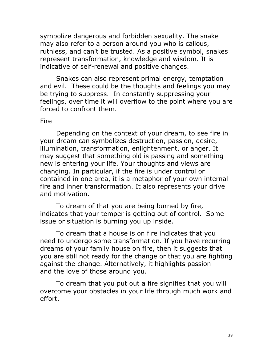symbolize dangerous and forbidden sexuality. The snake may also refer to a person around you who is callous, ruthless, and can't be trusted. As a positive symbol, snakes represent transformation, knowledge and wisdom. It is indicative of self-renewal and positive changes.

Snakes can also represent primal energy, temptation and evil. These could be the thoughts and feelings you may be trying to suppress. In constantly suppressing your feelings, over time it will overflow to the point where you are forced to confront them.

#### Fire

Depending on the context of your dream, to see fire in your dream can symbolizes destruction, passion, desire, illumination, transformation, enlightenment, or anger. It may suggest that something old is passing and something new is entering your life. Your thoughts and views are changing. In particular, if the fire is under control or contained in one area, it is a metaphor of your own internal fire and inner transformation. It also represents your drive and motivation.

To dream of that you are being burned by fire, indicates that your temper is getting out of control. Some issue or situation is burning you up inside.

To dream that a house is on fire indicates that you need to undergo some transformation. If you have recurring dreams of your family house on fire, then it suggests that you are still not ready for the change or that you are fighting against the change. Alternatively, it highlights passion and the love of those around you.

To dream that you put out a fire signifies that you will overcome your obstacles in your life through much work and effort.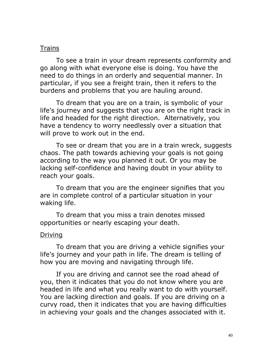#### Trains

To see a train in your dream represents conformity and go along with what everyone else is doing. You have the need to do things in an orderly and sequential manner. In particular, if you see a freight train, then it refers to the burdens and problems that you are hauling around.

To dream that you are on a train, is symbolic of your life's journey and suggests that you are on the right track in life and headed for the right direction. Alternatively, you have a tendency to worry needlessly over a situation that will prove to work out in the end.

To see or dream that you are in a train wreck, suggests chaos. The path towards achieving your goals is not going according to the way you planned it out. Or you may be lacking self-confidence and having doubt in your ability to reach your goals.

To dream that you are the engineer signifies that you are in complete control of a particular situation in your waking life.

To dream that you miss a train denotes missed opportunities or nearly escaping your death.

#### Driving

To dream that you are driving a vehicle signifies your life's journey and your path in life. The dream is telling of how you are moving and navigating through life.

If you are driving and cannot see the road ahead of you, then it indicates that you do not know where you are headed in life and what you really want to do with yourself. You are lacking direction and goals. If you are driving on a curvy road, then it indicates that you are having difficulties in achieving your goals and the changes associated with it.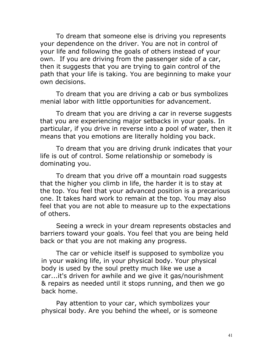To dream that someone else is driving you represents your dependence on the driver. You are not in control of your life and following the goals of others instead of your own. If you are driving from the passenger side of a car, then it suggests that you are trying to gain control of the path that your life is taking. You are beginning to make your own decisions.

To dream that you are driving a cab or bus symbolizes menial labor with little opportunities for advancement.

To dream that you are driving a car in reverse suggests that you are experiencing major setbacks in your goals. In particular, if you drive in reverse into a pool of water, then it means that you emotions are literally holding you back.

To dream that you are driving drunk indicates that your life is out of control. Some relationship or somebody is dominating you.

To dream that you drive off a mountain road suggests that the higher you climb in life, the harder it is to stay at the top. You feel that your advanced position is a precarious one. It takes hard work to remain at the top. You may also feel that you are not able to measure up to the expectations of others.

Seeing a wreck in your dream represents obstacles and barriers toward your goals. You feel that you are being held back or that you are not making any progress.

The car or vehicle itself is supposed to symbolize you in your waking life, in your physical body. Your physical body is used by the soul pretty much like we use a car...it's driven for awhile and we give it gas/nourishment & repairs as needed until it stops running, and then we go back home.

Pay attention to your car, which symbolizes your physical body. Are you behind the wheel, or is someone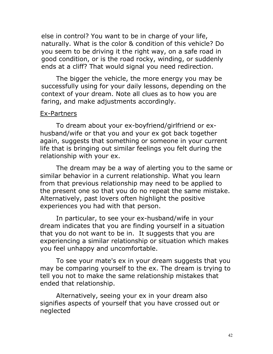else in control? You want to be in charge of your life, naturally. What is the color & condition of this vehicle? Do you seem to be driving it the right way, on a safe road in good condition, or is the road rocky, winding, or suddenly ends at a cliff? That would signal you need redirection.

The bigger the vehicle, the more energy you may be successfully using for your daily lessons, depending on the context of your dream. Note all clues as to how you are faring, and make adjustments accordingly.

#### Ex-Partners

To dream about your ex-boyfriend/girlfriend or exhusband/wife or that you and your ex got back together again, suggests that something or someone in your current life that is bringing out similar feelings you felt during the relationship with your ex.

The dream may be a way of alerting you to the same or similar behavior in a current relationship. What you learn from that previous relationship may need to be applied to the present one so that you do no repeat the same mistake. Alternatively, past lovers often highlight the positive experiences you had with that person.

In particular, to see your ex-husband/wife in your dream indicates that you are finding yourself in a situation that you do not want to be in. It suggests that you are experiencing a similar relationship or situation which makes you feel unhappy and uncomfortable.

To see your mate's ex in your dream suggests that you may be comparing yourself to the ex. The dream is trying to tell you not to make the same relationship mistakes that ended that relationship.

Alternatively, seeing your ex in your dream also signifies aspects of yourself that you have crossed out or neglected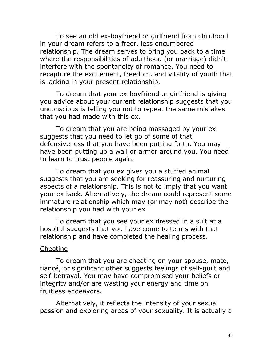To see an old ex-boyfriend or girlfriend from childhood in your dream refers to a freer, less encumbered relationship. The dream serves to bring you back to a time where the responsibilities of adulthood (or marriage) didn't interfere with the spontaneity of romance. You need to recapture the excitement, freedom, and vitality of youth that is lacking in your present relationship.

To dream that your ex-boyfriend or girlfriend is giving you advice about your current relationship suggests that you unconscious is telling you not to repeat the same mistakes that you had made with this ex.

To dream that you are being massaged by your ex suggests that you need to let go of some of that defensiveness that you have been putting forth. You may have been putting up a wall or armor around you. You need to learn to trust people again.

To dream that you ex gives you a stuffed animal suggests that you are seeking for reassuring and nurturing aspects of a relationship. This is not to imply that you want your ex back. Alternatively, the dream could represent some immature relationship which may (or may not) describe the relationship you had with your ex.

To dream that you see your ex dressed in a suit at a hospital suggests that you have come to terms with that relationship and have completed the healing process.

#### Cheating

To dream that you are cheating on your spouse, mate, fiancé, or significant other suggests feelings of self-guilt and self-betrayal. You may have compromised your beliefs or integrity and/or are wasting your energy and time on fruitless endeavors.

Alternatively, it reflects the intensity of your sexual passion and exploring areas of your sexuality. It is actually a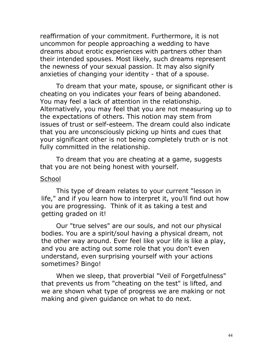reaffirmation of your commitment. Furthermore, it is not uncommon for people approaching a wedding to have dreams about erotic experiences with partners other than their intended spouses. Most likely, such dreams represent the newness of your sexual passion. It may also signify anxieties of changing your identity - that of a spouse.

To dream that your mate, spouse, or significant other is cheating on you indicates your fears of being abandoned. You may feel a lack of attention in the relationship. Alternatively, you may feel that you are not measuring up to the expectations of others. This notion may stem from issues of trust or self-esteem. The dream could also indicate that you are unconsciously picking up hints and cues that your significant other is not being completely truth or is not fully committed in the relationship.

To dream that you are cheating at a game, suggests that you are not being honest with yourself.

#### **School**

This type of dream relates to your current "lesson in life," and if you learn how to interpret it, you'll find out how you are progressing. Think of it as taking a test and getting graded on it!

Our "true selves" are our souls, and not our physical bodies. You are a spirit/soul having a physical dream, not the other way around. Ever feel like your life is like a play, and you are acting out some role that you don't even understand, even surprising yourself with your actions sometimes? Bingo!

When we sleep, that proverbial "Veil of Forgetfulness" that prevents us from "cheating on the test" is lifted, and we are shown what type of progress we are making or not making and given guidance on what to do next.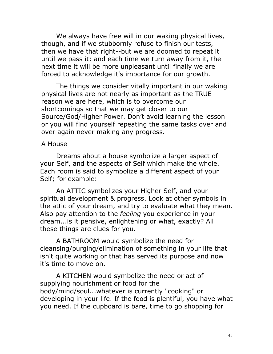We always have free will in our waking physical lives, though, and if we stubbornly refuse to finish our tests, then we have that right--but we are doomed to repeat it until we pass it; and each time we turn away from it, the next time it will be more unpleasant until finally we are forced to acknowledge it's importance for our growth.

The things we consider vitally important in our waking physical lives are not nearly as important as the TRUE reason we are here, which is to overcome our shortcomings so that we may get closer to our Source/God/Higher Power. Don't avoid learning the lesson or you will find yourself repeating the same tasks over and over again never making any progress.

#### A House

Dreams about a house symbolize a larger aspect of your Self, and the aspects of Self which make the whole. Each room is said to symbolize a different aspect of your Self; for example:

An ATTIC symbolizes your Higher Self, and your spiritual development & progress. Look at other symbols in the attic of your dream, and try to evaluate what they mean. Also pay attention to the *feeling* you experience in your dream...is it pensive, enlightening or what, exactly? All these things are clues for you.

A BATHROOM would symbolize the need for cleansing/purging/elimination of something in your life that isn't quite working or that has served its purpose and now it's time to move on.

A KITCHEN would symbolize the need or act of supplying nourishment or food for the body/mind/soul...whatever is currently "cooking" or developing in your life. If the food is plentiful, you have what you need. If the cupboard is bare, time to go shopping for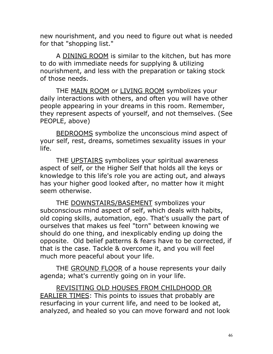new nourishment, and you need to figure out what is needed for that "shopping list."

A DINING ROOM is similar to the kitchen, but has more to do with immediate needs for supplying & utilizing nourishment, and less with the preparation or taking stock of those needs.

THE MAIN ROOM or LIVING ROOM symbolizes your daily interactions with others, and often you will have other people appearing in your dreams in this room. Remember, they represent aspects of yourself, and not themselves. (See PEOPLE, above)

BEDROOMS symbolize the unconscious mind aspect of your self, rest, dreams, sometimes sexuality issues in your life.

THE UPSTAIRS symbolizes your spiritual awareness aspect of self, or the Higher Self that holds all the keys or knowledge to this life's role you are acting out, and always has your higher good looked after, no matter how it might seem otherwise.

THE DOWNSTAIRS/BASEMENT symbolizes your subconscious mind aspect of self, which deals with habits, old coping skills, automation, ego. That's usually the part of ourselves that makes us feel "torn" between knowing we should do one thing, and inexplicably ending up doing the opposite. Old belief patterns & fears have to be corrected, if that is the case. Tackle & overcome it, and you will feel much more peaceful about your life.

THE GROUND FLOOR of a house represents your daily agenda; what's currently going on in your life.

REVISITING OLD HOUSES FROM CHILDHOOD OR EARLIER TIMES: This points to issues that probably are resurfacing in your current life, and need to be looked at, analyzed, and healed so you can move forward and not look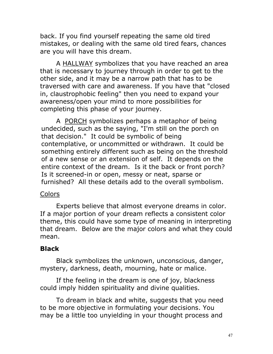back. If you find yourself repeating the same old tired mistakes, or dealing with the same old tired fears, chances are you will have this dream.

A HALLWAY symbolizes that you have reached an area that is necessary to journey through in order to get to the other side, and it may be a narrow path that has to be traversed with care and awareness. If you have that "closed in, claustrophobic feeling" then you need to expand your awareness/open your mind to more possibilities for completing this phase of your journey.

A PORCH symbolizes perhaps a metaphor of being undecided, such as the saying, "I'm still on the porch on that decision." It could be symbolic of being contemplative, or uncommitted or withdrawn. It could be something entirely different such as being on the threshold of a new sense or an extension of self. It depends on the entire context of the dream. Is it the back or front porch? Is it screened-in or open, messy or neat, sparse or furnished? All these details add to the overall symbolism.

#### Colors

Experts believe that almost everyone dreams in color. If a major portion of your dream reflects a consistent color theme, this could have some type of meaning in interpreting that dream. Below are the major colors and what they could mean.

### Black

Black symbolizes the unknown, unconscious, danger, mystery, darkness, death, mourning, hate or malice.

If the feeling in the dream is one of joy, blackness could imply hidden spirituality and divine qualities.

To dream in black and white, suggests that you need to be more objective in formulating your decisions. You may be a little too unyielding in your thought process and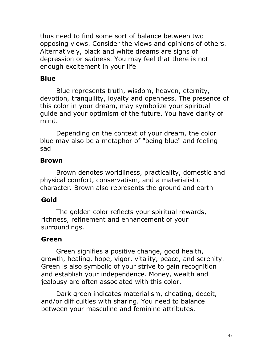thus need to find some sort of balance between two opposing views. Consider the views and opinions of others. Alternatively, black and white dreams are signs of depression or sadness. You may feel that there is not enough excitement in your life

### Blue

Blue represents truth, wisdom, heaven, eternity, devotion, tranquility, loyalty and openness. The presence of this color in your dream, may symbolize your spiritual guide and your optimism of the future. You have clarity of mind.

Depending on the context of your dream, the color blue may also be a metaphor of "being blue" and feeling sad

### Brown

Brown denotes worldliness, practicality, domestic and physical comfort, conservatism, and a materialistic character. Brown also represents the ground and earth

### Gold

The golden color reflects your spiritual rewards, richness, refinement and enhancement of your surroundings.

### Green

Green signifies a positive change, good health, growth, healing, hope, vigor, vitality, peace, and serenity. Green is also symbolic of your strive to gain recognition and establish your independence. Money, wealth and jealousy are often associated with this color.

Dark green indicates materialism, cheating, deceit, and/or difficulties with sharing. You need to balance between your masculine and feminine attributes.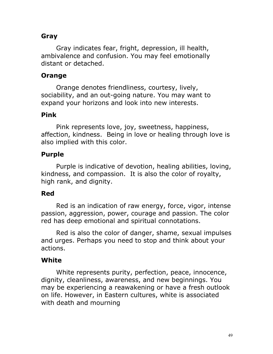### Gray

Gray indicates fear, fright, depression, ill health, ambivalence and confusion. You may feel emotionally distant or detached.

#### Orange

Orange denotes friendliness, courtesy, lively, sociability, and an out-going nature. You may want to expand your horizons and look into new interests.

#### Pink

Pink represents love, joy, sweetness, happiness, affection, kindness. Being in love or healing through love is also implied with this color.

#### Purple

Purple is indicative of devotion, healing abilities, loving, kindness, and compassion. It is also the color of royalty, high rank, and dignity.

#### Red

Red is an indication of raw energy, force, vigor, intense passion, aggression, power, courage and passion. The color red has deep emotional and spiritual connotations.

Red is also the color of danger, shame, sexual impulses and urges. Perhaps you need to stop and think about your actions.

#### **White**

White represents purity, perfection, peace, innocence, dignity, cleanliness, awareness, and new beginnings. You may be experiencing a reawakening or have a fresh outlook on life. However, in Eastern cultures, white is associated with death and mourning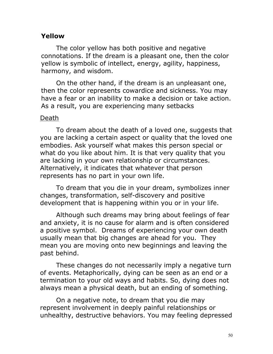#### Yellow

The color yellow has both positive and negative connotations. If the dream is a pleasant one, then the color yellow is symbolic of intellect, energy, agility, happiness, harmony, and wisdom.

On the other hand, if the dream is an unpleasant one, then the color represents cowardice and sickness. You may have a fear or an inability to make a decision or take action. As a result, you are experiencing many setbacks

#### Death

To dream about the death of a loved one, suggests that you are lacking a certain aspect or quality that the loved one embodies. Ask yourself what makes this person special or what do you like about him. It is that very quality that you are lacking in your own relationship or circumstances. Alternatively, it indicates that whatever that person represents has no part in your own life.

To dream that you die in your dream, symbolizes inner changes, transformation, self-discovery and positive development that is happening within you or in your life.

Although such dreams may bring about feelings of fear and anxiety, it is no cause for alarm and is often considered a positive symbol. Dreams of experiencing your own death usually mean that big changes are ahead for you. They mean you are moving onto new beginnings and leaving the past behind.

These changes do not necessarily imply a negative turn of events. Metaphorically, dying can be seen as an end or a termination to your old ways and habits. So, dying does not always mean a physical death, but an ending of something.

On a negative note, to dream that you die may represent involvement in deeply painful relationships or unhealthy, destructive behaviors. You may feeling depressed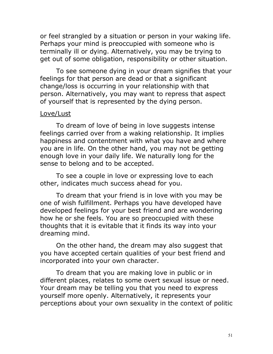or feel strangled by a situation or person in your waking life. Perhaps your mind is preoccupied with someone who is terminally ill or dying. Alternatively, you may be trying to get out of some obligation, responsibility or other situation.

To see someone dying in your dream signifies that your feelings for that person are dead or that a significant change/loss is occurring in your relationship with that person. Alternatively, you may want to repress that aspect of yourself that is represented by the dying person.

#### Love/Lust

To dream of love of being in love suggests intense feelings carried over from a waking relationship. It implies happiness and contentment with what you have and where you are in life. On the other hand, you may not be getting enough love in your daily life. We naturally long for the sense to belong and to be accepted.

To see a couple in love or expressing love to each other, indicates much success ahead for you.

To dream that your friend is in love with you may be one of wish fulfillment. Perhaps you have developed have developed feelings for your best friend and are wondering how he or she feels. You are so preoccupied with these thoughts that it is evitable that it finds its way into your dreaming mind.

On the other hand, the dream may also suggest that you have accepted certain qualities of your best friend and incorporated into your own character.

To dream that you are making love in public or in different places, relates to some overt sexual issue or need. Your dream may be telling you that you need to express yourself more openly. Alternatively, it represents your perceptions about your own sexuality in the context of politic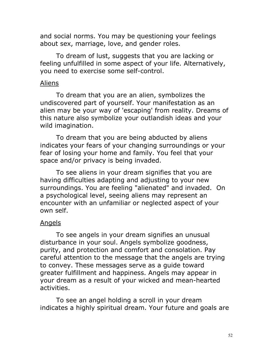and social norms. You may be questioning your feelings about sex, marriage, love, and gender roles.

To dream of lust, suggests that you are lacking or feeling unfulfilled in some aspect of your life. Alternatively, you need to exercise some self-control.

#### Aliens

To dream that you are an alien, symbolizes the undiscovered part of yourself. Your manifestation as an alien may be your way of 'escaping' from reality. Dreams of this nature also symbolize your outlandish ideas and your wild imagination.

To dream that you are being abducted by aliens indicates your fears of your changing surroundings or your fear of losing your home and family. You feel that your space and/or privacy is being invaded.

To see aliens in your dream signifies that you are having difficulties adapting and adjusting to your new surroundings. You are feeling "alienated" and invaded. On a psychological level, seeing aliens may represent an encounter with an unfamiliar or neglected aspect of your own self.

#### Angels

To see angels in your dream signifies an unusual disturbance in your soul. Angels symbolize goodness, purity, and protection and comfort and consolation. Pay careful attention to the message that the angels are trying to convey. These messages serve as a guide toward greater fulfillment and happiness. Angels may appear in your dream as a result of your wicked and mean-hearted activities.

To see an angel holding a scroll in your dream indicates a highly spiritual dream. Your future and goals are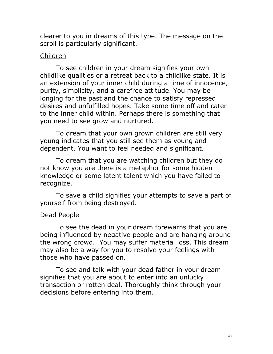clearer to you in dreams of this type. The message on the scroll is particularly significant.

#### Children

To see children in your dream signifies your own childlike qualities or a retreat back to a childlike state. It is an extension of your inner child during a time of innocence, purity, simplicity, and a carefree attitude. You may be longing for the past and the chance to satisfy repressed desires and unfulfilled hopes. Take some time off and cater to the inner child within. Perhaps there is something that you need to see grow and nurtured.

To dream that your own grown children are still very young indicates that you still see them as young and dependent. You want to feel needed and significant.

To dream that you are watching children but they do not know you are there is a metaphor for some hidden knowledge or some latent talent which you have failed to recognize.

To save a child signifies your attempts to save a part of yourself from being destroyed.

#### Dead People

To see the dead in your dream forewarns that you are being influenced by negative people and are hanging around the wrong crowd. You may suffer material loss. This dream may also be a way for you to resolve your feelings with those who have passed on.

To see and talk with your dead father in your dream signifies that you are about to enter into an unlucky transaction or rotten deal. Thoroughly think through your decisions before entering into them.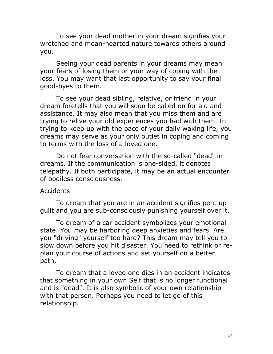To see your dead mother in your dream signifies your wretched and mean-hearted nature towards others around you.

Seeing your dead parents in your dreams may mean your fears of losing them or your way of coping with the loss. You may want that last opportunity to say your final good-byes to them.

To see your dead sibling, relative, or friend in your dream foretells that you will soon be called on for aid and assistance. It may also mean that you miss them and are trying to relive your old experiences you had with them. In trying to keep up with the pace of your daily waking life, you dreams may serve as your only outlet in coping and coming to terms with the loss of a loved one.

Do not fear conversation with the so-called "dead" in dreams. If the communication is one-sided, it denotes telepathy. If both participate, it may be an actual encounter of bodiless consciousness.

#### **Accidents**

To dream that you are in an accident signifies pent up guilt and you are sub-consciously punishing yourself over it.

To dream of a car accident symbolizes your emotional state. You may be harboring deep anxieties and fears. Are you "driving" yourself too hard? This dream may tell you to slow down before you hit disaster. You need to rethink or replan your course of actions and set yourself on a better path.

To dream that a loved one dies in an accident indicates that something in your own Self that is no longer functional and is "dead". It is also symbolic of your own relationship with that person. Perhaps you need to let go of this relationship.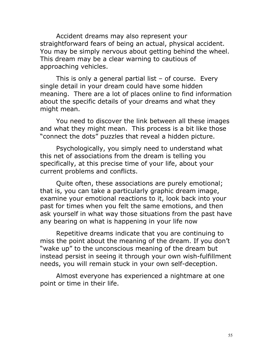Accident dreams may also represent your straightforward fears of being an actual, physical accident. You may be simply nervous about getting behind the wheel. This dream may be a clear warning to cautious of approaching vehicles.

This is only a general partial list  $-$  of course. Every single detail in your dream could have some hidden meaning. There are a lot of places online to find information about the specific details of your dreams and what they might mean.

You need to discover the link between all these images and what they might mean. This process is a bit like those "connect the dots" puzzles that reveal a hidden picture.

Psychologically, you simply need to understand what this net of associations from the dream is telling you specifically, at this precise time of your life, about your current [problems and conflicts.](http://www.guidetopsychology.com/reasons.htm)

Quite often, these associations are purely emotional; that is, you can take a particularly graphic dream image, examine your emotional reactions to it, look back into your past for times when you felt the same emotions, and then ask yourself in what way those situations from the past have any bearing on what is happening in your life now

Repetitive dreams indicate that you are continuing to miss the point about the meaning of the dream. If you don't "wake up" to the unconscious meaning of the dream but instead persist in seeing it through your own wish-fulfillment needs, you will remain stuck in your own self-deception.

Almost everyone has experienced a nightmare at one point or time in their life.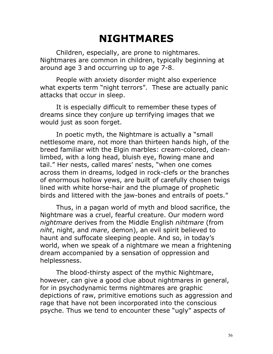# NIGHTMARES

Children, especially, are prone to nightmares. Nightmares are common in children, typically beginning at around age 3 and occurring up to age 7-8.

People with anxiety disorder might also experience what experts term "night terrors". These are actually panic attacks that occur in sleep.

It is especially difficult to remember these types of dreams since they conjure up terrifying images that we would just as soon forget.

In poetic myth, the Nightmare is actually a "small nettlesome mare, not more than thirteen hands high, of the breed familiar with the Elgin marbles: cream-colored, cleanlimbed, with a long head, bluish eye, flowing mane and tail." Her nests, called mares' nests, "when one comes across them in dreams, lodged in rock-clefs or the branches of enormous hollow yews, are built of carefully chosen twigs lined with white horse-hair and the plumage of prophetic birds and littered with the jaw-bones and entrails of poets."

Thus, in a pagan world of myth and blood sacrifice, the Nightmare was a cruel, fearful creature. Our modern word nightmare derives from the Middle English nihtmare (from niht, night, and mare, demon), an evil spirit believed to haunt and suffocate sleeping people. And so, in today's world, when we speak of a nightmare we mean a frightening dream accompanied by a sensation of oppression and helplessness.

The blood-thirsty aspect of the mythic Nightmare, however, can give a good clue about nightmares in general, for in psychodynamic terms nightmares are graphic depictions of raw, primitive emotions such as aggression and rage that have not been incorporated into the conscious psyche. Thus we tend to encounter these "ugly" aspects of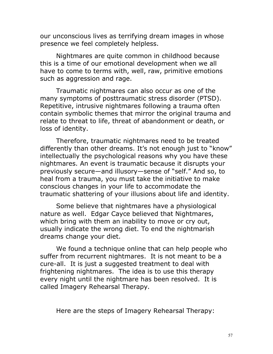our [unconscious](http://www.guidetopsychology.com/ucs.htm) lives as terrifying dream images in whose presence we feel completely helpless.

Nightmares are quite common in childhood because this is a time of our emotional development when we all have to come to terms with, well, raw, primitive emotions such as aggression and rage.

Traumatic nightmares can also occur as one of the many symptoms of [posttraumatic stress disorder](http://www.guidetopsychology.com/ptsd.htm) (PTSD). Repetitive, intrusive nightmares following a trauma often contain symbolic themes that mirror the original trauma and relate to threat to life, threat of abandonment or death, or loss of identity.

Therefore, traumatic nightmares need to be treated differently than other dreams. It's not enough just to "know" intellectually the psychological reasons why you have these nightmares. An event is traumatic because it disrupts your previously secure—and illusory—sense of "self." And so, to heal from a trauma, you must take the initiative to make conscious changes in your life to accommodate the traumatic shattering of your illusions about life and [identity](http://www.guidetopsychology.com/identity.htm).

Some believe that nightmares have a physiological nature as well. Edgar Cayce believed that Nightmares, which bring with them an inability to move or cry out, usually indicate the wrong diet. To end the nightmarish dreams change your diet.

We found a technique online that can help people who suffer from recurrent nightmares. It is not meant to be a cure-all. It is just a suggested treatment to deal with frightening nightmares. The idea is to use this therapy every night until the nightmare has been resolved. It is called Imagery Rehearsal Therapy.

Here are the steps of Imagery Rehearsal Therapy: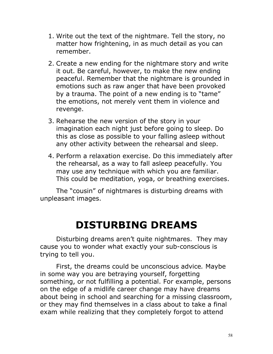- 1. Write out the text of the nightmare. Tell the story, no matter how frightening, in as much detail as you can remember.
- 2. Create a new ending for the nightmare story and write it out. Be careful, however, to make the new ending peaceful. Remember that the nightmare is grounded in emotions such as raw anger that have been provoked by a trauma. The point of a new ending is to "tame" the emotions, not merely vent them in violence and revenge.
- 3. Rehearse the new version of the story in your imagination each night just before going to sleep. Do this as close as possible to your falling asleep without any other activity between the rehearsal and sleep.
- 4. Perform a relaxation exercise. Do this immediately after the rehearsal, as a way to fall asleep peacefully. You may use any technique with which you are familiar. This could be meditation, yoga, or breathing exercises.

The "cousin" of nightmares is disturbing dreams with unpleasant images.

# DISTURBING DREAMS

Disturbing dreams aren't quite nightmares. They may cause you to wonder what exactly your sub-conscious is trying to tell you.

First, the dreams could be unconscious advice. Maybe in some way you are betraying yourself, forgetting something, or not fulfilling a potential. For example, persons on the edge of a midlife career change may have dreams about being in school and searching for a missing classroom, or they may find themselves in a class about to take a final exam while realizing that they completely forgot to attend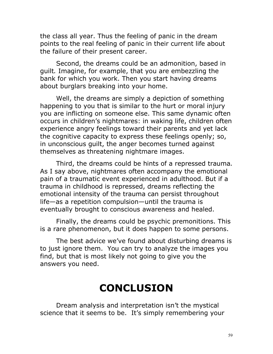the class all year. Thus the feeling of panic in the dream points to the real feeling of panic in their current life about the failure of their present career.

Second, the dreams could be an admonition, based in guilt. Imagine, for example, that you are embezzling the bank for which you work. Then you start having dreams about burglars breaking into your home.

Well, the dreams are simply a depiction of something happening to you that is similar to the hurt or moral injury you are inflicting on someone else. This same dynamic often occurs in children's nightmares: in waking life, children often experience angry feelings toward their parents and yet lack the cognitive capacity to express these feelings openly; so, in unconscious guilt, the [anger](http://www.guidetopsychology.com/anger.htm) becomes turned against themselves as threatening nightmare images.

Third, the dreams could be hints of a repressed trauma. As I say above, nightmares often accompany the emotional pain of a traumatic event experienced in adulthood. But if a trauma in childhood is [repressed](http://www.guidetopsychology.com/repressn.htm), dreams reflecting the emotional intensity of the trauma can persist throughout life—as a [repetition compulsion—](http://www.guidetopsychology.com/death.htm)until the trauma is eventually brought to conscious awareness and healed.

Finally, the dreams could be psychic premonitions. This is a rare phenomenon, but it does happen to some persons.

The best advice we've found about disturbing dreams is to just ignore them. You can try to analyze the images you find, but that is most likely not going to give you the answers you need.

# CONCLUSION

Dream analysis and interpretation isn't the mystical science that it seems to be. It's simply remembering your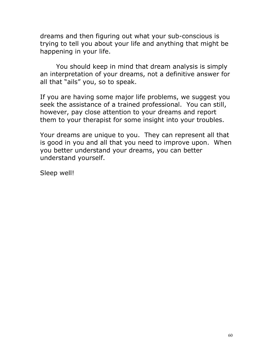dreams and then figuring out what your sub-conscious is trying to tell you about your life and anything that might be happening in your life.

You should keep in mind that dream analysis is simply an interpretation of your dreams, not a definitive answer for all that "ails" you, so to speak.

If you are having some major life problems, we suggest you seek the assistance of a trained professional. You can still, however, pay close attention to your dreams and report them to your therapist for some insight into your troubles.

Your dreams are unique to you. They can represent all that is good in you and all that you need to improve upon. When you better understand your dreams, you can better understand yourself.

Sleep well!